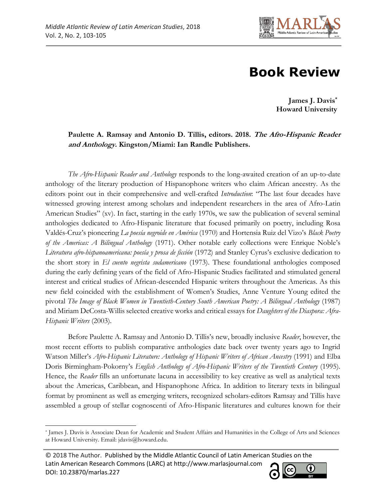

## **Book Review**

**James J. Davis\* Howard University**

## **Paulette A. Ramsay and Antonio D. Tillis, editors. 2018. The Afro-Hispanic Reader and Anthology. Kingston/Miami: Ian Randle Publishers.**

*The Afro-Hispanic Reader and Anthology* responds to the long-awaited creation of an up-to-date anthology of the literary production of Hispanophone writers who claim African ancestry. As the editors point out in their comprehensive and well-crafted *Introduction*: "The last four decades have witnessed growing interest among scholars and independent researchers in the area of Afro-Latin American Studies" (xv). In fact, starting in the early 1970s, we saw the publication of several seminal anthologies dedicated to Afro-Hispanic literature that focused primarily on poetry, including Rosa Valdés-Cruz's pioneering *La poesía negroide en América* (1970) and Hortensia Ruiz del Vizo's *Black Poetry of the Americas: A Bilingual Anthology* (1971). Other notable early collections were Enrique Noble's *Literatura afro-hispanoamericana: poesía y prosa de ficción* (1972) and Stanley Cyrus's exclusive dedication to the short story in *El cuento negrista sudamericano* (1973). These foundational anthologies composed during the early defining years of the field of Afro-Hispanic Studies facilitated and stimulated general interest and critical studies of African-descended Hispanic writers throughout the Americas. As this new field coincided with the establishment of Women's Studies, Anne Venture Young edited the pivotal *The Image of Black Women in Twentieth-Century South American Poetry: A Bilingual Anthology* (1987) and Miriam DeCosta-Willis selected creative works and critical essays for *Daughters of the Diaspora: Afra-Hispanic Writers* (2003).

Before Paulette A. Ramsay and Antonio D. Tillis's new, broadly inclusive *Reader*, however, the most recent efforts to publish comparative anthologies date back over twenty years ago to Ingrid Watson Miller's *Afro-Hispanic Literature: Anthology of Hispanic Writers of African Ancestry* (1991) and [Elba](https://www.worldcat.org/search?q=au%3ABirmingham-Pokorny%2C+Elba+Doris.&qt=hot_author)  [Doris Birmingham-Pokorny](https://www.worldcat.org/search?q=au%3ABirmingham-Pokorny%2C+Elba+Doris.&qt=hot_author)'s *English Anthology of Afro-Hispanic Writers of the Twentieth Century* (1995). Hence, the *Reader* fills an unfortunate lacuna in accessibility to key creative as well as analytical texts about the Americas, Caribbean, and Hispanophone Africa. In addition to literary texts in bilingual format by prominent as well as emerging writers, recognized scholars-editors Ramsay and Tillis have assembled a group of stellar cognoscenti of Afro-Hispanic literatures and cultures known for their

<sup>© 2018</sup> The Author. Published by the Middle Atlantic Council of Latin American Studies on the Latin American Research Commons (LARC) at http://www.marlasjournal.com **CC** DOI: [10.23870/marlas.227](https://doi.org/10.23870/marlas.227)



l \* James J. Davis is Associate Dean for Academic and Student Affairs and Humanities in the College of Arts and Sciences at Howard University. Email: jdavis@howard.edu.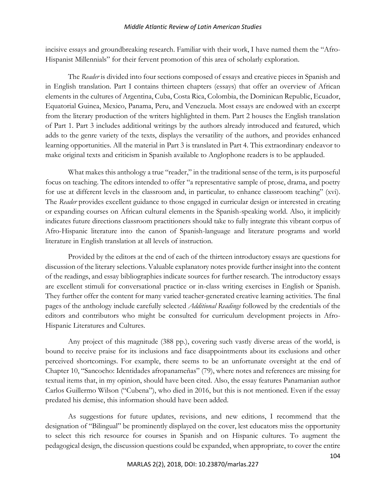## *Middle Atlantic Review of Latin American Studies*

incisive essays and groundbreaking research. Familiar with their work, I have named them the "Afro-Hispanist Millennials" for their fervent promotion of this area of scholarly exploration.

The *Reader* is divided into four sections composed of essays and creative pieces in Spanish and in English translation. Part I contains thirteen chapters (essays) that offer an overview of African elements in the cultures of Argentina, Cuba, Costa Rica, Colombia, the Dominican Republic, Ecuador, Equatorial Guinea, Mexico, Panama, Peru, and Venezuela. Most essays are endowed with an excerpt from the literary production of the writers highlighted in them. Part 2 houses the English translation of Part 1. Part 3 includes additional writings by the authors already introduced and featured, which adds to the genre variety of the texts, displays the versatility of the authors, and provides enhanced learning opportunities. All the material in Part 3 is translated in Part 4. This extraordinary endeavor to make original texts and criticism in Spanish available to Anglophone readers is to be applauded.

What makes this anthology a true "reader," in the traditional sense of the term, is its purposeful focus on teaching. The editors intended to offer "a representative sample of prose, drama, and poetry for use at different levels in the classroom and, in particular, to enhance classroom teaching" (xvi). The *Reader* provides excellent guidance to those engaged in curricular design or interested in creating or expanding courses on African cultural elements in the Spanish-speaking world. Also, it implicitly indicates future directions classroom practitioners should take to fully integrate this vibrant corpus of Afro-Hispanic literature into the canon of Spanish-language and literature programs and world literature in English translation at all levels of instruction.

Provided by the editors at the end of each of the thirteen introductory essays are questions for discussion of the literary selections. Valuable explanatory notes provide further insight into the content of the readings, and essay bibliographies indicate sources for further research. The introductory essays are excellent stimuli for conversational practice or in-class writing exercises in English or Spanish. They further offer the content for many varied teacher-generated creative learning activities. The final pages of the anthology include carefully selected *Additional Readings* followed by the credentials of the editors and contributors who might be consulted for curriculum development projects in Afro-Hispanic Literatures and Cultures.

Any project of this magnitude (388 pp.), covering such vastly diverse areas of the world, is bound to receive praise for its inclusions and face disappointments about its exclusions and other perceived shortcomings. For example, there seems to be an unfortunate oversight at the end of Chapter 10, "Sancocho: Identidades afropanameñas" (79), where notes and references are missing for textual items that, in my opinion, should have been cited. Also, the essay features Panamanian author Carlos Guillermo Wilson ("Cubena"), who died in 2016, but this is not mentioned. Even if the essay predated his demise, this information should have been added.

As suggestions for future updates, revisions, and new editions, I recommend that the designation of "Bilingual" be prominently displayed on the cover, lest educators miss the opportunity to select this rich resource for courses in Spanish and on Hispanic cultures. To augment the pedagogical design, the discussion questions could be expanded, when appropriate, to cover the entire